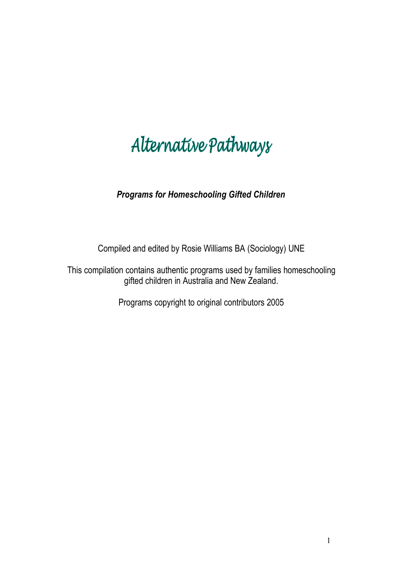# Alternative Pathways

*Programs for Homeschooling Gifted Children*

Compiled and edited by Rosie Williams BA (Sociology) UNE

This compilation contains authentic programs used by families homeschooling gifted children in Australia and New Zealand.

Programs copyright to original contributors 2005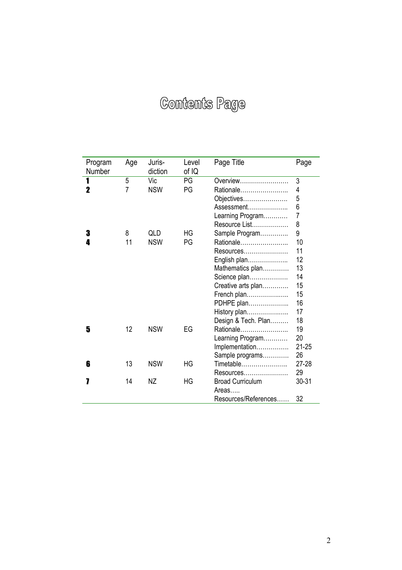# **Contents Page**

| Program<br>Number | Age            | Juris-<br>diction | Level<br>of IQ | Page Title              | Page           |
|-------------------|----------------|-------------------|----------------|-------------------------|----------------|
| 1                 | 5              | Vic               | PG             | Overview                | 3              |
| 2                 | $\overline{7}$ | <b>NSW</b>        | PG             | Rationale               | 4              |
|                   |                |                   |                | Objectives              | 5              |
|                   |                |                   |                | Assessment              | 6              |
|                   |                |                   |                | Learning Program        | $\overline{7}$ |
|                   |                |                   |                | Resource List           | 8              |
| 3                 | 8              | QLD               | HG             | Sample Program          | 9              |
| 4                 | 11             | <b>NSW</b>        | PG             | Rationale               | 10             |
|                   |                |                   |                | Resources               | 11             |
|                   |                |                   |                | English plan            | 12             |
|                   |                |                   |                | Mathematics plan        | 13             |
|                   |                |                   |                | Science plan            | 14             |
|                   |                |                   |                | Creative arts plan      | 15             |
|                   |                |                   |                | French plan             | 15             |
|                   |                |                   |                | PDHPE plan              | 16             |
|                   |                |                   |                | History plan            | 17             |
|                   |                |                   |                | Design & Tech. Plan     | 18             |
| 5                 | 12             | <b>NSW</b>        | EG             | Rationale               | 19             |
|                   |                |                   |                | Learning Program        | 20             |
|                   |                |                   |                | Implementation          | $21 - 25$      |
|                   |                |                   |                | Sample programs         | 26             |
| 6                 | 13             | <b>NSW</b>        | HG             | Timetable               | $27 - 28$      |
|                   |                |                   |                | Resources               | 29             |
|                   | 14             | NΖ                | HG             | <b>Broad Curriculum</b> | $30 - 31$      |
|                   |                |                   |                | Areas                   |                |
|                   |                |                   |                | Resources/References    | 32             |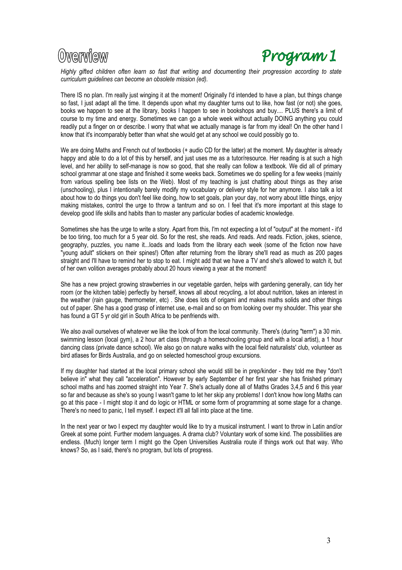# Owerwiew



*Highly gifted children often learn so fast that writing and documenting their progression according to state curriculum guidelines can become an obsolete mission (ed).*

There IS no plan. I'm really just winging it at the moment! Originally I'd intended to have a plan, but things change so fast, I just adapt all the time. It depends upon what my daughter turns out to like, how fast (or not) she goes, books we happen to see at the library, books I happen to see in bookshops and buy.... PLUS there's a limit of course to my time and energy. Sometimes we can go a whole week without actually DOING anything you could readily put a finger on or describe. l worry that what we actually manage is far from my ideal! On the other hand I know that it's incomparably better than what she would get at any school we could possibly go to.

We are doing Maths and French out of textbooks (+ audio CD for the latter) at the moment. My daughter is already happy and able to do a lot of this by herself, and just uses me as a tutor/resource. Her reading is at such a high level, and her ability to self-manage is now so good, that she really can follow a textbook. We did all of primary school grammar at one stage and finished it some weeks back. Sometimes we do spelling for a few weeks (mainly from various spelling bee lists on the Web). Most of my teaching is just chatting about things as they arise (unschooling), plus I intentionally barely modify my vocabulary or delivery style for her anymore. I also talk a lot about how to do things you don't feel like doing, how to set goals, plan your day, not worry about little things, enjoy making mistakes, control the urge to throw a tantrum and so on. I feel that it's more important at this stage to develop good life skills and habits than to master any particular bodies of academic knowledge.

Sometimes she has the urge to write a story. Apart from this, I'm not expecting a lot of "output" at the moment - it'd be too tiring, too much for a 5 year old. So for the rest, she reads. And reads. And reads. Fiction, jokes, science, geography, puzzles, you name it...loads and loads from the library each week (some of the fiction now have "young adult" stickers on their spines!) Often after returning from the library she'll read as much as 200 pages straight and I'll have to remind her to stop to eat. I might add that we have a TV and she's allowed to watch it, but of her own volition averages probably about 20 hours viewing a year at the moment!

She has a new project growing strawberries in our vegetable garden, helps with gardening generally, can tidy her room (or the kitchen table) perfectly by herself, knows all about recycling, a lot about nutrition, takes an interest in the weather (rain gauge, thermometer, etc) . She does lots of origami and makes maths solids and other things out of paper. She has a good grasp of internet use, e-mail and so on from looking over my shoulder. This year she has found a GT 5 yr old girl in South Africa to be penfriends with.

We also avail ourselves of whatever we like the look of from the local community. There's (during "term") a 30 min. swimming lesson (local gym), a 2 hour art class (through a homeschooling group and with a local artist), a 1 hour dancing class (private dance school). We also go on nature walks with the local field naturalists' club, volunteer as bird atlases for Birds Australia, and go on selected homeschool group excursions.

If my daughter had started at the local primary school she would still be in prep/kinder - they told me they "don't believe in" what they call "acceleration". However by early September of her first year she has finished primary school maths and has zoomed straight into Year 7. She's actually done all of Maths Grades 3,4,5 and 6 this year so far and because as she's so young I wasn't game to let her skip any problems! I don't know how long Maths can go at this pace - I might stop it and do logic or HTML or some form of programming at some stage for a change. There's no need to panic, I tell myself. I expect it'll all fall into place at the time.

In the next year or two I expect my daughter would like to try a musical instrument. I want to throw in Latin and/or Greek at some point. Further modern languages. A drama club? Voluntary work of some kind. The possibilities are endless. (Much) longer term I might go the Open Universities Australia route if things work out that way. Who knows? So, as I said, there's no program, but lots of progress.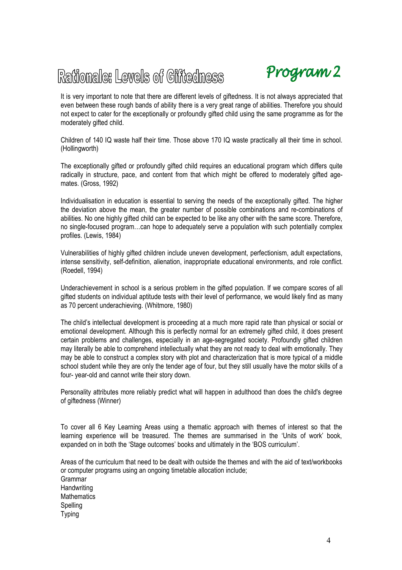# Rationale: Lewels of Giftedness



It is very important to note that there are different levels of giftedness. It is not always appreciated that even between these rough bands of ability there is a very great range of abilities. Therefore you should not expect to cater for the exceptionally or profoundly gifted child using the same programme as for the moderately gifted child.

Children of 140 IQ waste half their time. Those above 170 IQ waste practically all their time in school. (Hollingworth)

The exceptionally gifted or profoundly gifted child requires an educational program which differs quite radically in structure, pace, and content from that which might be offered to moderately gifted agemates. (Gross, 1992)

Individualisation in education is essential to serving the needs of the exceptionally gifted. The higher the deviation above the mean, the greater number of possible combinations and re-combinations of abilities. No one highly gifted child can be expected to be like any other with the same score. Therefore, no single-focused program…can hope to adequately serve a population with such potentially complex profiles. (Lewis, 1984)

Vulnerabilities of highly gifted children include uneven development, perfectionism, adult expectations, intense sensitivity, self-definition, alienation, inappropriate educational environments, and role conflict. (Roedell, 1994)

Underachievement in school is a serious problem in the gifted population. If we compare scores of all gifted students on individual aptitude tests with their level of performance, we would likely find as many as 70 percent underachieving. (Whitmore, 1980)

The child's intellectual development is proceeding at a much more rapid rate than physical or social or emotional development. Although this is perfectly normal for an extremely gifted child, it does present certain problems and challenges, especially in an age-segregated society. Profoundly gifted children may literally be able to comprehend intellectually what they are not ready to deal with emotionally. They may be able to construct a complex story with plot and characterization that is more typical of a middle school student while they are only the tender age of four, but they still usually have the motor skills of a four- year-old and cannot write their story down.

Personality attributes more reliably predict what will happen in adulthood than does the child's degree of giftedness (Winner)

To cover all 6 Key Learning Areas using a thematic approach with themes of interest so that the learning experience will be treasured. The themes are summarised in the 'Units of work' book, expanded on in both the 'Stage outcomes' books and ultimately in the 'BOS curriculum'.

Areas of the curriculum that need to be dealt with outside the themes and with the aid of text/workbooks or computer programs using an ongoing timetable allocation include; Grammar **Handwriting Mathematics** Spelling Typing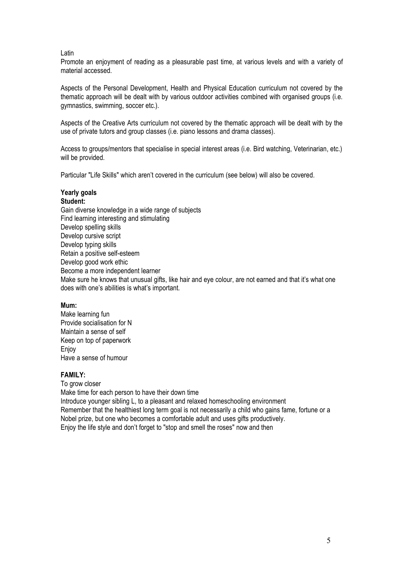#### Latin

Promote an enjoyment of reading as a pleasurable past time, at various levels and with a variety of material accessed.

Aspects of the Personal Development, Health and Physical Education curriculum not covered by the thematic approach will be dealt with by various outdoor activities combined with organised groups (i.e. gymnastics, swimming, soccer etc.).

Aspects of the Creative Arts curriculum not covered by the thematic approach will be dealt with by the use of private tutors and group classes (i.e. piano lessons and drama classes).

Access to groups/mentors that specialise in special interest areas (i.e. Bird watching, Veterinarian, etc.) will be provided.

Particular "Life Skills" which aren't covered in the curriculum (see below) will also be covered.

#### **Yearly goals Student:**

Gain diverse knowledge in a wide range of subjects Find learning interesting and stimulating Develop spelling skills Develop cursive script Develop typing skills Retain a positive self-esteem Develop good work ethic Become a more independent learner Make sure he knows that unusual gifts, like hair and eye colour, are not earned and that it's what one does with one's abilities is what's important.

### **Mum:**

Make learning fun Provide socialisation for N Maintain a sense of self Keep on top of paperwork **Enjoy** Have a sense of humour

### **FAMILY:**

To grow closer

Make time for each person to have their down time Introduce younger sibling L, to a pleasant and relaxed homeschooling environment Remember that the healthiest long term goal is not necessarily a child who gains fame, fortune or a Nobel prize, but one who becomes a comfortable adult and uses gifts productively. Enjoy the life style and don't forget to "stop and smell the roses" now and then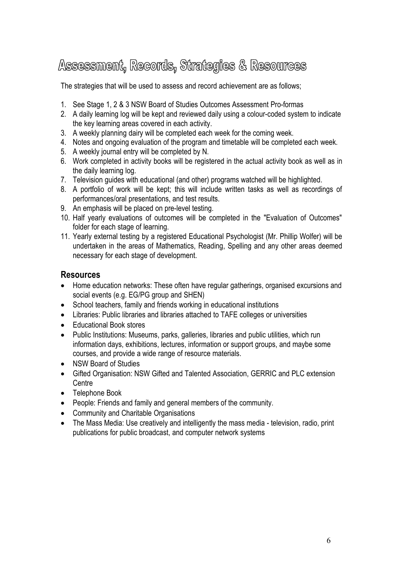# Assessment, Records, Strategies & Resources

The strategies that will be used to assess and record achievement are as follows;

- 1. See Stage 1, 2 & 3 NSW Board of Studies Outcomes Assessment Pro-formas
- 2. A daily learning log will be kept and reviewed daily using a colour-coded system to indicate the key learning areas covered in each activity.
- 3. A weekly planning dairy will be completed each week for the coming week.
- 4. Notes and ongoing evaluation of the program and timetable will be completed each week.
- 5. A weekly journal entry will be completed by N.
- 6. Work completed in activity books will be registered in the actual activity book as well as in the daily learning log.
- 7. Television guides with educational (and other) programs watched will be highlighted.
- 8. A portfolio of work will be kept; this will include written tasks as well as recordings of performances/oral presentations, and test results.
- 9. An emphasis will be placed on pre-level testing.
- 10. Half yearly evaluations of outcomes will be completed in the "Evaluation of Outcomes" folder for each stage of learning.
- 11. Yearly external testing by a registered Educational Psychologist (Mr. Phillip Wolfer) will be undertaken in the areas of Mathematics, Reading, Spelling and any other areas deemed necessary for each stage of development.

# **Resources**

- · Home education networks: These often have regular gatherings, organised excursions and social events (e.g. EG/PG group and SHEN)
- School teachers, family and friends working in educational institutions
- · Libraries: Public libraries and libraries attached to TAFE colleges or universities
- · Educational Book stores
- · Public Institutions: Museums, parks, galleries, libraries and public utilities, which run information days, exhibitions, lectures, information or support groups, and maybe some courses, and provide a wide range of resource materials.
- NSW Board of Studies
- · Gifted Organisation: NSW Gifted and Talented Association, GERRIC and PLC extension **Centre**
- · Telephone Book
- · People: Friends and family and general members of the community.
- · Community and Charitable Organisations
- · The Mass Media: Use creatively and intelligently the mass media television, radio, print publications for public broadcast, and computer network systems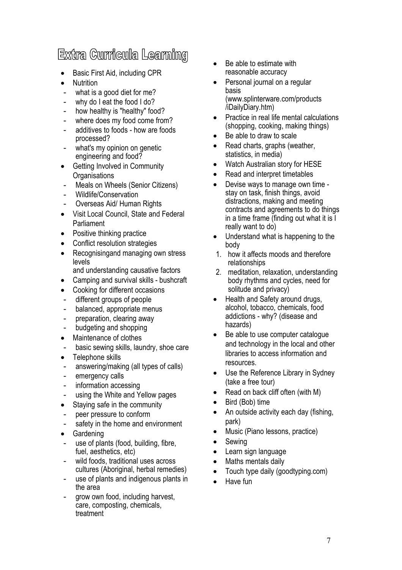# Extra Curricula Learning

- · Basic First Aid, including CPR
- Nutrition
- what is a good diet for me?
- why do I eat the food I do?
- how healthy is "healthy" food?
- where does my food come from?
- additives to foods how are foods processed?
- what's my opinion on genetic engineering and food?
- Getting Involved in Community **Organisations**
- Meals on Wheels (Senior Citizens)
- Wildlife/Conservation
- Overseas Aid/ Human Rights
- · Visit Local Council, State and Federal Parliament
- Positive thinking practice
- Conflict resolution strategies
- Recognisingand managing own stress levels
	- and understanding causative factors
- · Camping and survival skills bushcraft
- Cooking for different occasions
- different groups of people
- balanced, appropriate menus
- preparation, clearing away
- budgeting and shopping
- Maintenance of clothes
- basic sewing skills, laundry, shoe care
- Telephone skills
- answering/making (all types of calls)
- emergency calls
- information accessing
- using the White and Yellow pages
- Staying safe in the community
- peer pressure to conform
- safety in the home and environment
- · Gardening
- use of plants (food, building, fibre, fuel, aesthetics, etc)
- wild foods, traditional uses across cultures (Aboriginal, herbal remedies)
- use of plants and indigenous plants in the area
- grow own food, including harvest, care, composting, chemicals, treatment
- Be able to estimate with reasonable accuracy
- Personal journal on a regular basis (www.splinterware.com/products /iDailyDiary.htm)
- Practice in real life mental calculations (shopping, cooking, making things)
- Be able to draw to scale
- Read charts, graphs (weather, statistics, in media)
- · Watch Australian story for HESE
- Read and interpret timetables
- · Devise ways to manage own time stay on task, finish things, avoid distractions, making and meeting contracts and agreements to do things in a time frame (finding out what it is I really want to do)
- Understand what is happening to the body
- 1. how it affects moods and therefore relationships
- 2. meditation, relaxation, understanding body rhythms and cycles, need for solitude and privacy)
- · Health and Safety around drugs, alcohol, tobacco, chemicals, food addictions - why? (disease and hazards)
- Be able to use computer catalogue and technology in the local and other libraries to access information and resources.
- Use the Reference Library in Sydney (take a free tour)
- Read on back cliff often (with M)
- Bird (Bob) time
- An outside activity each day (fishing, park)
- Music (Piano lessons, practice)
- Sewing
- · Learn sign language
- Maths mentals daily
- Touch type daily (goodtyping.com)
- · Have fun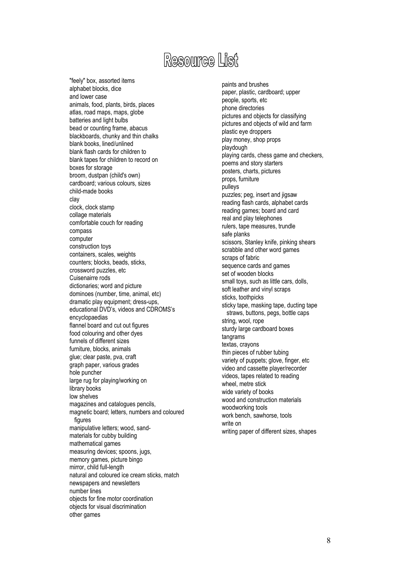# Resource List

"feely" box, assorted items alphabet blocks, dice and lower case animals, food, plants, birds, places atlas, road maps, maps, globe batteries and light bulbs bead or counting frame, abacus blackboards, chunky and thin chalks blank books, lined/unlined blank flash cards for children to blank tapes for children to record on boxes for storage broom, dustpan (child's own) cardboard; various colours, sizes child-made books clay clock, clock stamp collage materials comfortable couch for reading compass computer construction toys containers, scales, weights counters; blocks, beads, sticks, crossword puzzles, etc Cuisenairre rods dictionaries; word and picture dominoes (number, time, animal, etc) dramatic play equipment; dress-ups, educational DVD's, videos and CDROMS's encyclopaedias flannel board and cut out figures food colouring and other dyes funnels of different sizes furniture, blocks, animals glue; clear paste, pva, craft graph paper, various grades hole puncher large rug for playing/working on library books low shelves magazines and catalogues pencils, magnetic board; letters, numbers and coloured figures manipulative letters; wood, sandmaterials for cubby building mathematical games measuring devices; spoons, jugs, memory games, picture bingo mirror, child full-length natural and coloured ice cream sticks, match newspapers and newsletters number lines objects for fine motor coordination objects for visual discrimination other games

paints and brushes paper, plastic, cardboard; upper people, sports, etc phone directories pictures and objects for classifying pictures and objects of wild and farm plastic eye droppers play money, shop props playdough playing cards, chess game and checkers, poems and story starters posters, charts, pictures props, furniture pulleys puzzles; peg, insert and jigsaw reading flash cards, alphabet cards reading games; board and card real and play telephones rulers, tape measures, trundle safe planks scissors, Stanley knife, pinking shears scrabble and other word games scraps of fabric sequence cards and games set of wooden blocks small toys, such as little cars, dolls, soft leather and vinyl scraps sticks, toothpicks sticky tape, masking tape, ducting tape straws, buttons, pegs, bottle caps string, wool, rope sturdy large cardboard boxes tangrams textas, crayons thin pieces of rubber tubing variety of puppets; glove, finger, etc video and cassette player/recorder videos, tapes related to reading wheel, metre stick wide variety of books wood and construction materials woodworking tools work bench, sawhorse, tools write on writing paper of different sizes, shapes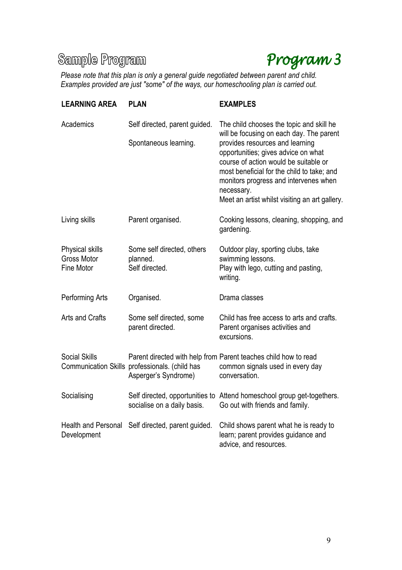# Sample Program



*Please note that this plan is only a general guide negotiated between parent and child. Examples provided are just "some" of the ways, our homeschooling plan is carried out.*

| <b>LEARNING AREA</b>                                | <b>PLAN</b>                                                            | <b>EXAMPLES</b>                                                                                                                                                                                                                                                                                                                                                |
|-----------------------------------------------------|------------------------------------------------------------------------|----------------------------------------------------------------------------------------------------------------------------------------------------------------------------------------------------------------------------------------------------------------------------------------------------------------------------------------------------------------|
| Academics                                           | Self directed, parent guided.<br>Spontaneous learning.                 | The child chooses the topic and skill he<br>will be focusing on each day. The parent<br>provides resources and learning<br>opportunities; gives advice on what<br>course of action would be suitable or<br>most beneficial for the child to take; and<br>monitors progress and intervenes when<br>necessary.<br>Meet an artist whilst visiting an art gallery. |
| Living skills                                       | Parent organised.                                                      | Cooking lessons, cleaning, shopping, and<br>gardening.                                                                                                                                                                                                                                                                                                         |
| Physical skills<br>Gross Motor<br><b>Fine Motor</b> | Some self directed, others<br>planned.<br>Self directed.               | Outdoor play, sporting clubs, take<br>swimming lessons.<br>Play with lego, cutting and pasting,<br>writing.                                                                                                                                                                                                                                                    |
| Performing Arts                                     | Organised.                                                             | Drama classes                                                                                                                                                                                                                                                                                                                                                  |
| Arts and Crafts                                     | Some self directed, some<br>parent directed.                           | Child has free access to arts and crafts.<br>Parent organises activities and<br>excursions.                                                                                                                                                                                                                                                                    |
| <b>Social Skills</b>                                | Communication Skills professionals. (child has<br>Asperger's Syndrome) | Parent directed with help from Parent teaches child how to read<br>common signals used in every day<br>conversation.                                                                                                                                                                                                                                           |
| Socialising                                         | socialise on a daily basis.                                            | Self directed, opportunities to Attend homeschool group get-togethers.<br>Go out with friends and family.                                                                                                                                                                                                                                                      |
| Health and Personal<br>Development                  | Self directed, parent guided.                                          | Child shows parent what he is ready to<br>learn; parent provides guidance and<br>advice, and resources.                                                                                                                                                                                                                                                        |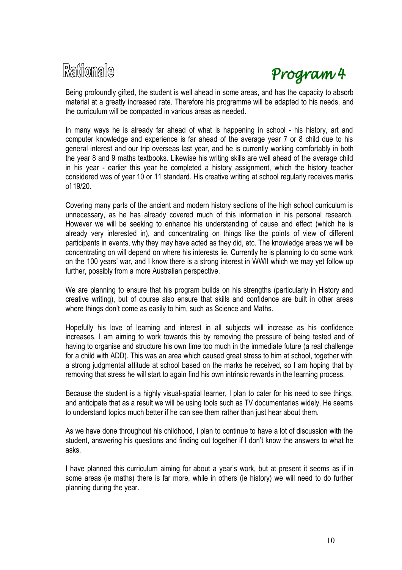



Being profoundly gifted, the student is well ahead in some areas, and has the capacity to absorb material at a greatly increased rate. Therefore his programme will be adapted to his needs, and the curriculum will be compacted in various areas as needed.

In many ways he is already far ahead of what is happening in school - his history, art and computer knowledge and experience is far ahead of the average year 7 or 8 child due to his general interest and our trip overseas last year, and he is currently working comfortably in both the year 8 and 9 maths textbooks. Likewise his writing skills are well ahead of the average child in his year - earlier this year he completed a history assignment, which the history teacher considered was of year 10 or 11 standard. His creative writing at school regularly receives marks of 19/20.

Covering many parts of the ancient and modern history sections of the high school curriculum is unnecessary, as he has already covered much of this information in his personal research. However we will be seeking to enhance his understanding of cause and effect (which he is already very interested in), and concentrating on things like the points of view of different participants in events, why they may have acted as they did, etc. The knowledge areas we will be concentrating on will depend on where his interests lie. Currently he is planning to do some work on the 100 years' war, and I know there is a strong interest in WWII which we may yet follow up further, possibly from a more Australian perspective.

We are planning to ensure that his program builds on his strengths (particularly in History and creative writing), but of course also ensure that skills and confidence are built in other areas where things don't come as easily to him, such as Science and Maths.

Hopefully his love of learning and interest in all subjects will increase as his confidence increases. I am aiming to work towards this by removing the pressure of being tested and of having to organise and structure his own time too much in the immediate future (a real challenge for a child with ADD). This was an area which caused great stress to him at school, together with a strong judgmental attitude at school based on the marks he received, so I am hoping that by removing that stress he will start to again find his own intrinsic rewards in the learning process.

Because the student is a highly visual-spatial learner, I plan to cater for his need to see things, and anticipate that as a result we will be using tools such as TV documentaries widely. He seems to understand topics much better if he can see them rather than just hear about them.

As we have done throughout his childhood, I plan to continue to have a lot of discussion with the student, answering his questions and finding out together if I don't know the answers to what he asks.

I have planned this curriculum aiming for about a year's work, but at present it seems as if in some areas (ie maths) there is far more, while in others (ie history) we will need to do further planning during the year.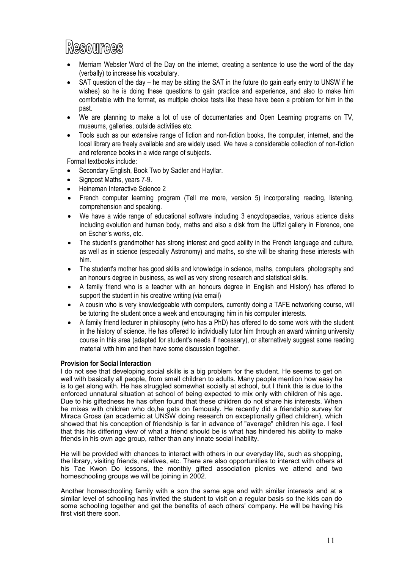# Resources

- Merriam Webster Word of the Day on the internet, creating a sentence to use the word of the day (verbally) to increase his vocabulary.
- SAT question of the day he may be sitting the SAT in the future (to gain early entry to UNSW if he wishes) so he is doing these questions to gain practice and experience, and also to make him comfortable with the format, as multiple choice tests like these have been a problem for him in the past.
- · We are planning to make a lot of use of documentaries and Open Learning programs on TV, museums, galleries, outside activities etc.
- · Tools such as our extensive range of fiction and non-fiction books, the computer, internet, and the local library are freely available and are widely used. We have a considerable collection of non-fiction and reference books in a wide range of subjects.

Formal textbooks include:

- Secondary English, Book Two by Sadler and Hayllar.
- Signpost Maths, years 7-9.
- · Heineman Interactive Science 2
- French computer learning program (Tell me more, version 5) incorporating reading, listening, comprehension and speaking.
- · We have a wide range of educational software including 3 encyclopaedias, various science disks including evolution and human body, maths and also a disk from the Uffizi gallery in Florence, one on Escher's works, etc.
- · The student's grandmother has strong interest and good ability in the French language and culture, as well as in science (especially Astronomy) and maths, so she will be sharing these interests with him.
- The student's mother has good skills and knowledge in science, maths, computers, photography and an honours degree in business, as well as very strong research and statistical skills.
- · A family friend who is a teacher with an honours degree in English and History) has offered to support the student in his creative writing (via email)
- · A cousin who is very knowledgeable with computers, currently doing a TAFE networking course, will be tutoring the student once a week and encouraging him in his computer interests.
- A family friend lecturer in philosophy (who has a PhD) has offered to do some work with the student in the history of science. He has offered to individually tutor him through an award winning university course in this area (adapted for student's needs if necessary), or alternatively suggest some reading material with him and then have some discussion together.

#### **Provision for Social Interaction**

I do not see that developing social skills is a big problem for the student. He seems to get on well with basically all people, from small children to adults. Many people mention how easy he is to get along with. He has struggled somewhat socially at school, but I think this is due to the enforced unnatural situation at school of being expected to mix only with children of his age. Due to his giftedness he has often found that these children do not share his interests. When he mixes with children who do,he gets on famously. He recently did a friendship survey for Miraca Gross (an academic at UNSW doing research on exceptionally gifted children), which showed that his conception of friendship is far in advance of "average" children his age. I feel that this his differing view of what a friend should be is what has hindered his ability to make friends in his own age group, rather than any innate social inability.

He will be provided with chances to interact with others in our everyday life, such as shopping, the library, visiting friends, relatives, etc. There are also opportunities to interact with others at his Tae Kwon Do lessons, the monthly gifted association picnics we attend and two homeschooling groups we will be joining in 2002.

Another homeschooling family with a son the same age and with similar interests and at a similar level of schooling has invited the student to visit on a regular basis so the kids can do some schooling together and get the benefits of each others' company. He will be having his first visit there soon.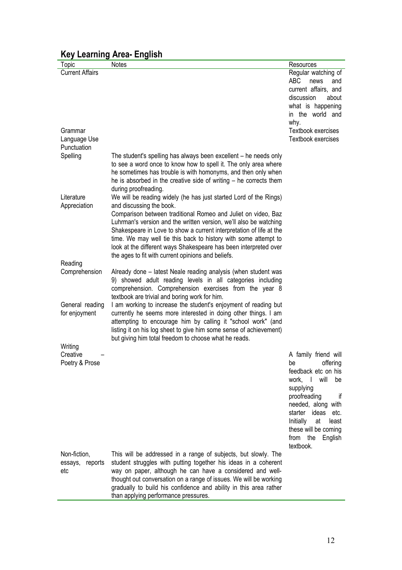|                        | $-$                                                                 |                           |
|------------------------|---------------------------------------------------------------------|---------------------------|
| Topic                  | <b>Notes</b>                                                        | Resources                 |
| <b>Current Affairs</b> |                                                                     | Regular watching of       |
|                        |                                                                     | <b>ABC</b><br>news<br>and |
|                        |                                                                     | current affairs, and      |
|                        |                                                                     | discussion<br>about       |
|                        |                                                                     | what is happening         |
|                        |                                                                     | in the world and          |
|                        |                                                                     | why.                      |
| Grammar                |                                                                     | Textbook exercises        |
| Language Use           |                                                                     | Textbook exercises        |
| Punctuation            |                                                                     |                           |
| Spelling               | The student's spelling has always been excellent – he needs only    |                           |
|                        | to see a word once to know how to spell it. The only area where     |                           |
|                        | he sometimes has trouble is with homonyms, and then only when       |                           |
|                        | he is absorbed in the creative side of writing - he corrects them   |                           |
|                        |                                                                     |                           |
|                        | during proofreading.                                                |                           |
| Literature             | We will be reading widely (he has just started Lord of the Rings)   |                           |
| Appreciation           | and discussing the book.                                            |                           |
|                        | Comparison between traditional Romeo and Juliet on video, Baz       |                           |
|                        | Luhrman's version and the written version, we'll also be watching   |                           |
|                        | Shakespeare in Love to show a current interpretation of life at the |                           |
|                        | time. We may well tie this back to history with some attempt to     |                           |
|                        | look at the different ways Shakespeare has been interpreted over    |                           |
|                        | the ages to fit with current opinions and beliefs.                  |                           |
| Reading                |                                                                     |                           |
| Comprehension          | Already done - latest Neale reading analysis (when student was      |                           |
|                        | 9) showed adult reading levels in all categories including          |                           |
|                        | comprehension. Comprehension exercises from the year 8              |                           |
|                        | textbook are trivial and boring work for him.                       |                           |
| General reading        | I am working to increase the student's enjoyment of reading but     |                           |
| for enjoyment          | currently he seems more interested in doing other things. I am      |                           |
|                        | attempting to encourage him by calling it "school work" (and        |                           |
|                        | listing it on his log sheet to give him some sense of achievement)  |                           |
|                        | but giving him total freedom to choose what he reads.               |                           |
| Writing                |                                                                     |                           |
| Creative               |                                                                     | A family friend will      |
| Poetry & Prose         |                                                                     | offering<br>be            |
|                        |                                                                     | feedback etc on his       |
|                        |                                                                     | will<br>work, I<br>be     |
|                        |                                                                     | supplying                 |
|                        |                                                                     | proofreading<br>if        |
|                        |                                                                     | needed, along with        |
|                        |                                                                     | starter ideas etc.        |
|                        |                                                                     | Initially<br>at<br>least  |
|                        |                                                                     | these will be coming      |
|                        |                                                                     | from the<br>English       |
|                        |                                                                     | textbook.                 |
|                        |                                                                     |                           |
| Non-fiction,           | This will be addressed in a range of subjects, but slowly. The      |                           |
| essays, reports        | student struggles with putting together his ideas in a coherent     |                           |
| etc                    | way on paper, although he can have a considered and well-           |                           |
|                        | thought out conversation on a range of issues. We will be working   |                           |
|                        | gradually to build his confidence and ability in this area rather   |                           |
|                        | than applying performance pressures.                                |                           |

# **Key Learning Area- English**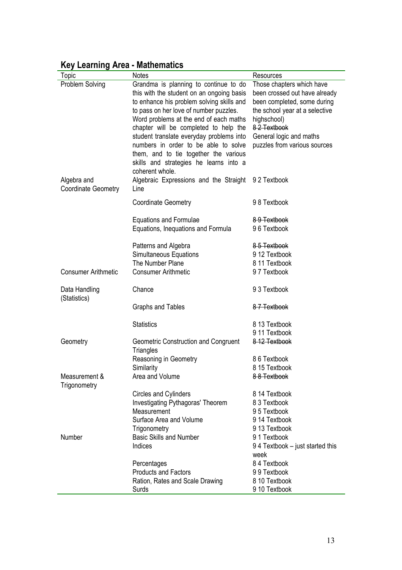| <b>Key Learning Area - Mathematics</b> |  |  |  |
|----------------------------------------|--|--|--|
|----------------------------------------|--|--|--|

| Topic                      | <b>Notes</b>                              | Resources                       |
|----------------------------|-------------------------------------------|---------------------------------|
| Problem Solving            | Grandma is planning to continue to do     | Those chapters which have       |
|                            | this with the student on an ongoing basis | been crossed out have already   |
|                            | to enhance his problem solving skills and | been completed, some during     |
|                            | to pass on her love of number puzzles.    | the school year at a selective  |
|                            | Word problems at the end of each maths    | highschool)                     |
|                            | chapter will be completed to help the     | 8-2-Textbook                    |
|                            |                                           |                                 |
|                            | student translate everyday problems into  | General logic and maths         |
|                            | numbers in order to be able to solve      | puzzles from various sources    |
|                            | them, and to tie together the various     |                                 |
|                            | skills and strategies he learns into a    |                                 |
|                            | coherent whole.                           |                                 |
| Algebra and                | Algebraic Expressions and the Straight    | 92 Textbook                     |
| <b>Coordinate Geometry</b> | Line                                      |                                 |
|                            | <b>Coordinate Geometry</b>                | 98 Textbook                     |
|                            |                                           |                                 |
|                            | <b>Equations and Formulae</b>             | 8-9-Textbook                    |
|                            | Equations, Inequations and Formula        | 96 Textbook                     |
|                            | Patterns and Algebra                      | 85 Textbook                     |
|                            | Simultaneous Equations                    | 9 12 Textbook                   |
|                            | The Number Plane                          | 8 11 Textbook                   |
| <b>Consumer Arithmetic</b> | <b>Consumer Arithmetic</b>                | 97 Textbook                     |
|                            |                                           |                                 |
| Data Handling              | Chance                                    | 9 3 Textbook                    |
| (Statistics)               |                                           |                                 |
|                            | <b>Graphs and Tables</b>                  | 87 Textbook                     |
|                            | <b>Statistics</b>                         | 8 13 Textbook                   |
|                            |                                           | 9 11 Textbook                   |
| Geometry                   | Geometric Construction and Congruent      | 8-12-Textbook                   |
|                            | <b>Triangles</b>                          |                                 |
|                            | Reasoning in Geometry                     | 86 Textbook                     |
|                            | Similarity                                | 8 15 Textbook                   |
| Measurement &              | Area and Volume                           | 88 Textbook                     |
| Trigonometry               |                                           |                                 |
|                            | Circles and Cylinders                     | 8 14 Textbook                   |
|                            | Investigating Pythagoras' Theorem         | 8 3 Textbook                    |
|                            | Measurement                               | 95 Textbook                     |
|                            | Surface Area and Volume                   | 9 14 Textbook                   |
|                            | Trigonometry                              | 913 Textbook                    |
| Number                     | <b>Basic Skills and Number</b>            | 91 Textbook                     |
|                            | Indices                                   | 94 Textbook – just started this |
|                            |                                           | week                            |
|                            | Percentages                               | 84 Textbook                     |
|                            | <b>Products and Factors</b>               | 99 Textbook                     |
|                            | Ration, Rates and Scale Drawing           | 8 10 Textbook                   |
|                            | Surds                                     | 9 10 Textbook                   |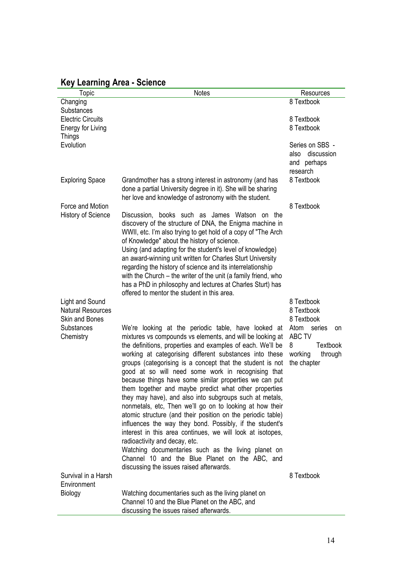|  |  |  | <b>Key Learning Area - Science</b> |
|--|--|--|------------------------------------|
|--|--|--|------------------------------------|

| Topic                                                                | <b>Notes</b>                                                                                                                                                                                                                                                                                                                                                                                                                                                                                                                                                                                                                                                                                                                                                                                                                                                                                                                                                                          | Resources                                                                                   |
|----------------------------------------------------------------------|---------------------------------------------------------------------------------------------------------------------------------------------------------------------------------------------------------------------------------------------------------------------------------------------------------------------------------------------------------------------------------------------------------------------------------------------------------------------------------------------------------------------------------------------------------------------------------------------------------------------------------------------------------------------------------------------------------------------------------------------------------------------------------------------------------------------------------------------------------------------------------------------------------------------------------------------------------------------------------------|---------------------------------------------------------------------------------------------|
| Changing                                                             |                                                                                                                                                                                                                                                                                                                                                                                                                                                                                                                                                                                                                                                                                                                                                                                                                                                                                                                                                                                       | 8 Textbook                                                                                  |
| <b>Substances</b>                                                    |                                                                                                                                                                                                                                                                                                                                                                                                                                                                                                                                                                                                                                                                                                                                                                                                                                                                                                                                                                                       |                                                                                             |
| <b>Electric Circuits</b><br>Energy for Living                        |                                                                                                                                                                                                                                                                                                                                                                                                                                                                                                                                                                                                                                                                                                                                                                                                                                                                                                                                                                                       | 8 Textbook<br>8 Textbook                                                                    |
| Things                                                               |                                                                                                                                                                                                                                                                                                                                                                                                                                                                                                                                                                                                                                                                                                                                                                                                                                                                                                                                                                                       |                                                                                             |
| Evolution                                                            |                                                                                                                                                                                                                                                                                                                                                                                                                                                                                                                                                                                                                                                                                                                                                                                                                                                                                                                                                                                       | Series on SBS -<br>also discussion                                                          |
|                                                                      |                                                                                                                                                                                                                                                                                                                                                                                                                                                                                                                                                                                                                                                                                                                                                                                                                                                                                                                                                                                       | and perhaps<br>research                                                                     |
| <b>Exploring Space</b>                                               | Grandmother has a strong interest in astronomy (and has<br>done a partial University degree in it). She will be sharing<br>her love and knowledge of astronomy with the student.                                                                                                                                                                                                                                                                                                                                                                                                                                                                                                                                                                                                                                                                                                                                                                                                      | 8 Textbook                                                                                  |
| Force and Motion                                                     |                                                                                                                                                                                                                                                                                                                                                                                                                                                                                                                                                                                                                                                                                                                                                                                                                                                                                                                                                                                       | 8 Textbook                                                                                  |
| <b>History of Science</b>                                            | Discussion, books such as James Watson on the<br>discovery of the structure of DNA, the Enigma machine in<br>WWII, etc. I'm also trying to get hold of a copy of "The Arch"<br>of Knowledge" about the history of science.<br>Using (and adapting for the student's level of knowledge)<br>an award-winning unit written for Charles Sturt University<br>regarding the history of science and its interrelationship<br>with the Church - the writer of the unit (a family friend, who<br>has a PhD in philosophy and lectures at Charles Sturt) has                                                                                                                                                                                                                                                                                                                                                                                                                                   |                                                                                             |
|                                                                      | offered to mentor the student in this area.                                                                                                                                                                                                                                                                                                                                                                                                                                                                                                                                                                                                                                                                                                                                                                                                                                                                                                                                           |                                                                                             |
| Light and Sound<br><b>Natural Resources</b><br><b>Skin and Bones</b> |                                                                                                                                                                                                                                                                                                                                                                                                                                                                                                                                                                                                                                                                                                                                                                                                                                                                                                                                                                                       | 8 Textbook<br>8 Textbook<br>8 Textbook                                                      |
| <b>Substances</b><br>Chemistry                                       | We're looking at the periodic table, have looked at<br>mixtures vs compounds vs elements, and will be looking at<br>the definitions, properties and examples of each. We'll be<br>working at categorising different substances into these<br>groups (categorising is a concept that the student is not<br>good at so will need some work in recognising that<br>because things have some similar properties we can put<br>them together and maybe predict what other properties<br>they may have), and also into subgroups such at metals,<br>nonmetals, etc, Then we'll go on to looking at how their<br>atomic structure (and their position on the periodic table)<br>influences the way they bond. Possibly, if the student's<br>interest in this area continues, we will look at isotopes,<br>radioactivity and decay, etc.<br>Watching documentaries such as the living planet on<br>Channel 10 and the Blue Planet on the ABC, and<br>discussing the issues raised afterwards. | Atom<br>series<br>on<br>ABC TV<br>8<br><b>Textbook</b><br>working<br>through<br>the chapter |
| Survival in a Harsh                                                  |                                                                                                                                                                                                                                                                                                                                                                                                                                                                                                                                                                                                                                                                                                                                                                                                                                                                                                                                                                                       | 8 Textbook                                                                                  |
| Environment                                                          |                                                                                                                                                                                                                                                                                                                                                                                                                                                                                                                                                                                                                                                                                                                                                                                                                                                                                                                                                                                       |                                                                                             |
| Biology                                                              | Watching documentaries such as the living planet on<br>Channel 10 and the Blue Planet on the ABC, and<br>discussing the issues raised afterwards.                                                                                                                                                                                                                                                                                                                                                                                                                                                                                                                                                                                                                                                                                                                                                                                                                                     |                                                                                             |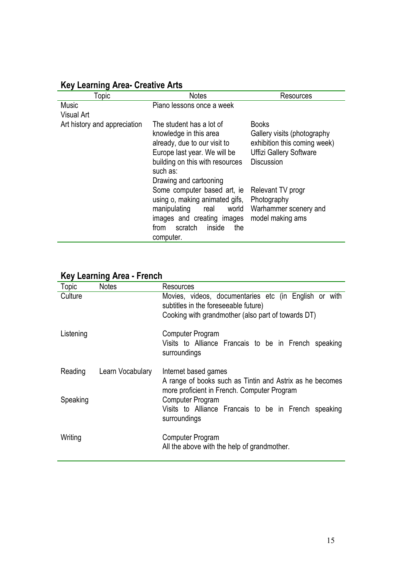| <b>Key Learning Area- Creative Arts</b> |  |  |
|-----------------------------------------|--|--|
|                                         |  |  |

| Topic                        | <b>Notes</b>                                                                                                                                                                                | Resources                                                                                                                          |
|------------------------------|---------------------------------------------------------------------------------------------------------------------------------------------------------------------------------------------|------------------------------------------------------------------------------------------------------------------------------------|
| <b>Music</b><br>Visual Art   | Piano lessons once a week                                                                                                                                                                   |                                                                                                                                    |
| Art history and appreciation | The student has a lot of<br>knowledge in this area<br>already, due to our visit to<br>Europe last year. We will be<br>building on this with resources<br>such as:<br>Drawing and cartooning | <b>Books</b><br>Gallery visits (photography<br>exhibition this coming week)<br><b>Uffizi Gallery Software</b><br><b>Discussion</b> |
|                              | Some computer based art, ie<br>using o, making animated gifs,<br>manipulating<br>world<br>real<br>images and creating images<br>scratch<br>inside<br>the<br>from<br>computer.               | Relevant TV progr<br>Photography<br>Warhammer scenery and<br>model making ams                                                      |

| Topic     | <b>Notes</b>     | Resources                                                                                                                                           |
|-----------|------------------|-----------------------------------------------------------------------------------------------------------------------------------------------------|
| Culture   |                  | Movies, videos, documentaries etc (in English or with<br>subtitles in the foreseeable future)<br>Cooking with grandmother (also part of towards DT) |
| Listening |                  | Computer Program<br>Visits to Alliance Francais to be in French speaking<br>surroundings                                                            |
| Reading   | Learn Vocabulary | Internet based games<br>A range of books such as Tintin and Astrix as he becomes                                                                    |
| Speaking  |                  | more proficient in French. Computer Program<br><b>Computer Program</b><br>Visits to Alliance Francais to be in French speaking<br>surroundings      |
| Writing   |                  | Computer Program<br>All the above with the help of grandmother.                                                                                     |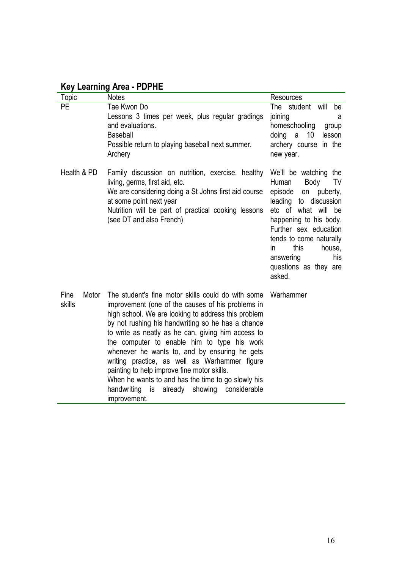# **Key Learning Area - PDPHE**

| Topic                   | <b>Notes</b>                                                                                                                                                                                                                                                                                                                                                                                                                                                                                                                                                                                         | <b>Resources</b>                                                                                                                                                                                                                                                                     |
|-------------------------|------------------------------------------------------------------------------------------------------------------------------------------------------------------------------------------------------------------------------------------------------------------------------------------------------------------------------------------------------------------------------------------------------------------------------------------------------------------------------------------------------------------------------------------------------------------------------------------------------|--------------------------------------------------------------------------------------------------------------------------------------------------------------------------------------------------------------------------------------------------------------------------------------|
| PE                      | Tae Kwon Do<br>Lessons 3 times per week, plus regular gradings<br>and evaluations.<br><b>Baseball</b><br>Possible return to playing baseball next summer.<br>Archery                                                                                                                                                                                                                                                                                                                                                                                                                                 | The student will<br>be<br>joining<br>a<br>homeschooling<br>group<br>doing<br>10<br>lesson<br>a<br>archery course in the<br>new year.                                                                                                                                                 |
| Health & PD             | Family discussion on nutrition, exercise, healthy<br>living, germs, first aid, etc.<br>We are considering doing a St Johns first aid course<br>at some point next year<br>Nutrition will be part of practical cooking lessons<br>(see DT and also French)                                                                                                                                                                                                                                                                                                                                            | We'll be watching the<br>Body<br>TV<br>Human<br>episode<br>on puberty,<br>leading to discussion<br>etc of what will be<br>happening to his body.<br>Further sex education<br>tends to come naturally<br>this<br>house,<br>in.<br>his<br>answering<br>questions as they are<br>asked. |
| Fine<br>Motor<br>skills | The student's fine motor skills could do with some<br>improvement (one of the causes of his problems in<br>high school. We are looking to address this problem<br>by not rushing his handwriting so he has a chance<br>to write as neatly as he can, giving him access to<br>the computer to enable him to type his work<br>whenever he wants to, and by ensuring he gets<br>writing practice, as well as Warhammer figure<br>painting to help improve fine motor skills.<br>When he wants to and has the time to go slowly his<br>handwriting<br>is<br>already showing considerable<br>improvement. | Warhammer                                                                                                                                                                                                                                                                            |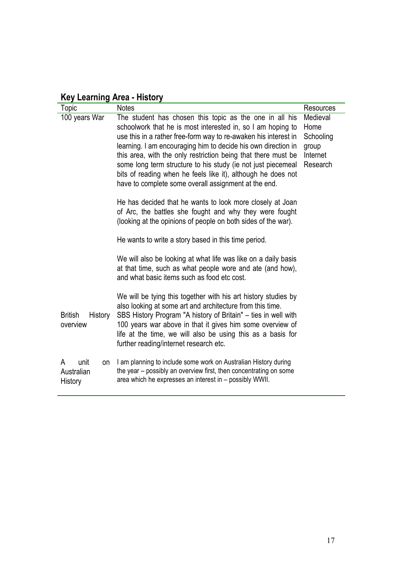|  | <b>Key Learning Area - History</b> |  |  |
|--|------------------------------------|--|--|
|--|------------------------------------|--|--|

| Topic                                    | <b>Notes</b>                                                                                                                                                                                                                                                                                                                                                                                                                                                                                                        | <b>Resources</b>                                               |  |  |
|------------------------------------------|---------------------------------------------------------------------------------------------------------------------------------------------------------------------------------------------------------------------------------------------------------------------------------------------------------------------------------------------------------------------------------------------------------------------------------------------------------------------------------------------------------------------|----------------------------------------------------------------|--|--|
| 100 years War                            | The student has chosen this topic as the one in all his<br>schoolwork that he is most interested in, so I am hoping to<br>use this in a rather free-form way to re-awaken his interest in<br>learning. I am encouraging him to decide his own direction in<br>this area, with the only restriction being that there must be<br>some long term structure to his study (ie not just piecemeal<br>bits of reading when he feels like it), although he does not<br>have to complete some overall assignment at the end. | Medieval<br>Home<br>Schooling<br>group<br>Internet<br>Research |  |  |
|                                          | He has decided that he wants to look more closely at Joan<br>of Arc, the battles she fought and why they were fought<br>(looking at the opinions of people on both sides of the war).                                                                                                                                                                                                                                                                                                                               |                                                                |  |  |
|                                          | He wants to write a story based in this time period.                                                                                                                                                                                                                                                                                                                                                                                                                                                                |                                                                |  |  |
|                                          | We will also be looking at what life was like on a daily basis<br>at that time, such as what people wore and ate (and how),<br>and what basic items such as food etc cost.                                                                                                                                                                                                                                                                                                                                          |                                                                |  |  |
| <b>British</b><br>History<br>overview    | We will be tying this together with his art history studies by<br>also looking at some art and architecture from this time.<br>SBS History Program "A history of Britain" – ties in well with<br>100 years war above in that it gives him some overview of<br>life at the time, we will also be using this as a basis for<br>further reading/internet research etc.                                                                                                                                                 |                                                                |  |  |
| unit<br>A<br>on<br>Australian<br>History | I am planning to include some work on Australian History during<br>the year – possibly an overview first, then concentrating on some<br>area which he expresses an interest in - possibly WWII.                                                                                                                                                                                                                                                                                                                     |                                                                |  |  |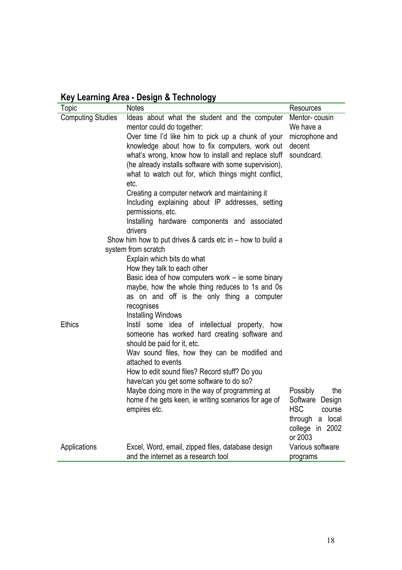| Key Learning Area - Design & Technology |  |  |  |  |
|-----------------------------------------|--|--|--|--|
|-----------------------------------------|--|--|--|--|

| Topic                    | <b>Notes</b>                                                                                                                                                                                                                                                                                                                                                                                                                                                                                                                                            | Resources                                                                                                            |
|--------------------------|---------------------------------------------------------------------------------------------------------------------------------------------------------------------------------------------------------------------------------------------------------------------------------------------------------------------------------------------------------------------------------------------------------------------------------------------------------------------------------------------------------------------------------------------------------|----------------------------------------------------------------------------------------------------------------------|
| <b>Computing Studies</b> | Ideas about what the student and the computer<br>mentor could do together:<br>Over time I'd like him to pick up a chunk of your<br>knowledge about how to fix computers, work out<br>what's wrong, know how to install and replace stuff<br>(he already installs software with some supervision),<br>what to watch out for, which things might conflict,<br>etc.<br>Creating a computer network and maintaining it<br>Including explaining about IP addresses, setting<br>permissions, etc.<br>Installing hardware components and associated<br>drivers | Mentor-cousin<br>We have a<br>microphone and<br>decent<br>soundcard.                                                 |
|                          | Show him how to put drives $&$ cards etc in $-$ how to build a                                                                                                                                                                                                                                                                                                                                                                                                                                                                                          |                                                                                                                      |
|                          | system from scratch                                                                                                                                                                                                                                                                                                                                                                                                                                                                                                                                     |                                                                                                                      |
|                          | Explain which bits do what                                                                                                                                                                                                                                                                                                                                                                                                                                                                                                                              |                                                                                                                      |
|                          | How they talk to each other                                                                                                                                                                                                                                                                                                                                                                                                                                                                                                                             |                                                                                                                      |
|                          | Basic idea of how computers work $-$ ie some binary<br>maybe, how the whole thing reduces to 1s and 0s<br>as on and off is the only thing a computer<br>recognises                                                                                                                                                                                                                                                                                                                                                                                      |                                                                                                                      |
| <b>Ethics</b>            | Installing Windows<br>Instil some idea of intellectual property,<br>how                                                                                                                                                                                                                                                                                                                                                                                                                                                                                 |                                                                                                                      |
|                          | someone has worked hard creating software and<br>should be paid for it, etc.                                                                                                                                                                                                                                                                                                                                                                                                                                                                            |                                                                                                                      |
|                          | Wav sound files, how they can be modified and<br>attached to events                                                                                                                                                                                                                                                                                                                                                                                                                                                                                     |                                                                                                                      |
|                          | How to edit sound files? Record stuff? Do you<br>have/can you get some software to do so?                                                                                                                                                                                                                                                                                                                                                                                                                                                               |                                                                                                                      |
|                          | Maybe doing more in the way of programming at<br>home if he gets keen, ie writing scenarios for age of<br>empires etc.                                                                                                                                                                                                                                                                                                                                                                                                                                  | the<br>Possibly<br>Software Design<br><b>HSC</b><br>course<br>local<br>through<br>a<br>2002<br>college in<br>or 2003 |
| Applications             | Excel, Word, email, zipped files, database design<br>and the internet as a research tool                                                                                                                                                                                                                                                                                                                                                                                                                                                                | Various software<br>programs                                                                                         |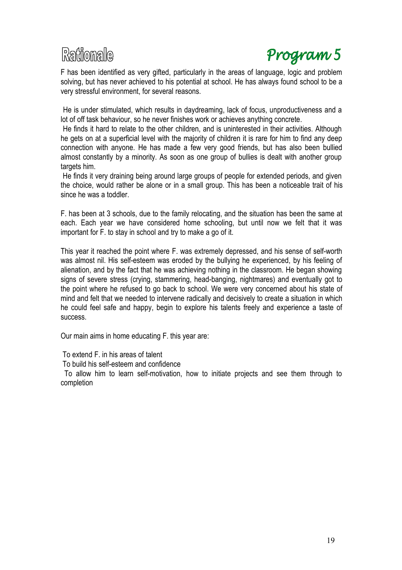# Raffionale

# Program 5

F has been identified as very gifted, particularly in the areas of language, logic and problem solving, but has never achieved to his potential at school. He has always found school to be a very stressful environment, for several reasons.

He is under stimulated, which results in daydreaming, lack of focus, unproductiveness and a lot of off task behaviour, so he never finishes work or achieves anything concrete.

He finds it hard to relate to the other children, and is uninterested in their activities. Although he gets on at a superficial level with the majority of children it is rare for him to find any deep connection with anyone. He has made a few very good friends, but has also been bullied almost constantly by a minority. As soon as one group of bullies is dealt with another group targets him.

He finds it very draining being around large groups of people for extended periods, and given the choice, would rather be alone or in a small group. This has been a noticeable trait of his since he was a toddler.

F. has been at 3 schools, due to the family relocating, and the situation has been the same at each. Each year we have considered home schooling, but until now we felt that it was important for F. to stay in school and try to make a go of it.

This year it reached the point where F. was extremely depressed, and his sense of self-worth was almost nil. His self-esteem was eroded by the bullying he experienced, by his feeling of alienation, and by the fact that he was achieving nothing in the classroom. He began showing signs of severe stress (crying, stammering, head-banging, nightmares) and eventually got to the point where he refused to go back to school. We were very concerned about his state of mind and felt that we needed to intervene radically and decisively to create a situation in which he could feel safe and happy, begin to explore his talents freely and experience a taste of success.

Our main aims in home educating F. this year are:

To extend F. in his areas of talent

To build his self-esteem and confidence

To allow him to learn self-motivation, how to initiate projects and see them through to completion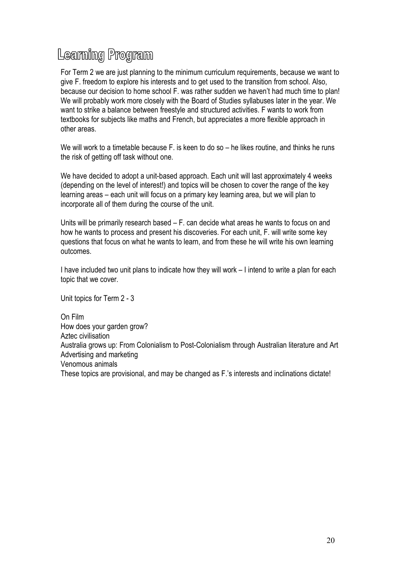# Learning Program

For Term 2 we are just planning to the minimum curriculum requirements, because we want to give F. freedom to explore his interests and to get used to the transition from school. Also, because our decision to home school F. was rather sudden we haven't had much time to plan! We will probably work more closely with the Board of Studies syllabuses later in the year. We want to strike a balance between freestyle and structured activities. F wants to work from textbooks for subjects like maths and French, but appreciates a more flexible approach in other areas.

We will work to a timetable because F, is keen to do so – he likes routine, and thinks he runs the risk of getting off task without one.

We have decided to adopt a unit-based approach. Each unit will last approximately 4 weeks (depending on the level of interest!) and topics will be chosen to cover the range of the key learning areas – each unit will focus on a primary key learning area, but we will plan to incorporate all of them during the course of the unit.

Units will be primarily research based – F. can decide what areas he wants to focus on and how he wants to process and present his discoveries. For each unit, F. will write some key questions that focus on what he wants to learn, and from these he will write his own learning outcomes.

I have included two unit plans to indicate how they will work – I intend to write a plan for each topic that we cover.

Unit topics for Term 2 - 3

On Film How does your garden grow? Aztec civilisation Australia grows up: From Colonialism to Post-Colonialism through Australian literature and Art Advertising and marketing Venomous animals These topics are provisional, and may be changed as F.'s interests and inclinations dictate!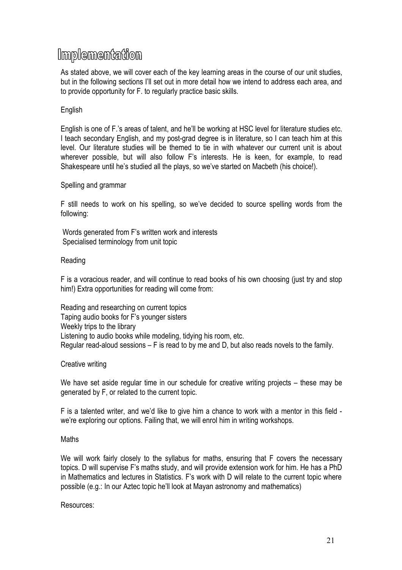# Implementation

As stated above, we will cover each of the key learning areas in the course of our unit studies, but in the following sections I'll set out in more detail how we intend to address each area, and to provide opportunity for F. to regularly practice basic skills.

# English

English is one of F.'s areas of talent, and he'll be working at HSC level for literature studies etc. I teach secondary English, and my post-grad degree is in literature, so I can teach him at this level. Our literature studies will be themed to tie in with whatever our current unit is about wherever possible, but will also follow F's interests. He is keen, for example, to read Shakespeare until he's studied all the plays, so we've started on Macbeth (his choice!).

### Spelling and grammar

F still needs to work on his spelling, so we've decided to source spelling words from the following:

Words generated from F's written work and interests Specialised terminology from unit topic

### Reading

F is a voracious reader, and will continue to read books of his own choosing (just try and stop him!) Extra opportunities for reading will come from:

Reading and researching on current topics Taping audio books for F's younger sisters Weekly trips to the library Listening to audio books while modeling, tidying his room, etc. Regular read-aloud sessions – F is read to by me and D, but also reads novels to the family.

# Creative writing

We have set aside regular time in our schedule for creative writing projects – these may be generated by F, or related to the current topic.

F is a talented writer, and we'd like to give him a chance to work with a mentor in this field we're exploring our options. Failing that, we will enrol him in writing workshops.

### **Maths**

We will work fairly closely to the syllabus for maths, ensuring that F covers the necessary topics. D will supervise F's maths study, and will provide extension work for him. He has a PhD in Mathematics and lectures in Statistics. F's work with D will relate to the current topic where possible (e.g.: In our Aztec topic he'll look at Mayan astronomy and mathematics)

Resources: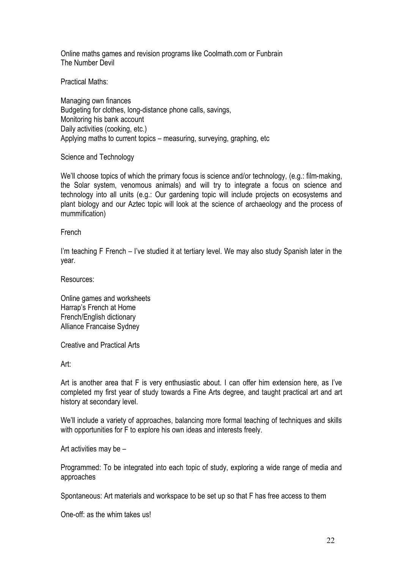Online maths games and revision programs like Coolmath.com or Funbrain The Number Devil

Practical Maths:

Managing own finances Budgeting for clothes, long-distance phone calls, savings, Monitoring his bank account Daily activities (cooking, etc.) Applying maths to current topics – measuring, surveying, graphing, etc

Science and Technology

We'll choose topics of which the primary focus is science and/or technology, (e.g.: film-making, the Solar system, venomous animals) and will try to integrate a focus on science and technology into all units (e.g.: Our gardening topic will include projects on ecosystems and plant biology and our Aztec topic will look at the science of archaeology and the process of mummification)

### French

I'm teaching F French – I've studied it at tertiary level. We may also study Spanish later in the year.

Resources:

Online games and worksheets Harrap's French at Home French/English dictionary Alliance Francaise Sydney

Creative and Practical Arts

Art:

Art is another area that F is very enthusiastic about. I can offer him extension here, as I've completed my first year of study towards a Fine Arts degree, and taught practical art and art history at secondary level.

We'll include a variety of approaches, balancing more formal teaching of techniques and skills with opportunities for F to explore his own ideas and interests freely.

Art activities may be –

Programmed: To be integrated into each topic of study, exploring a wide range of media and approaches

Spontaneous: Art materials and workspace to be set up so that F has free access to them

One-off: as the whim takes us!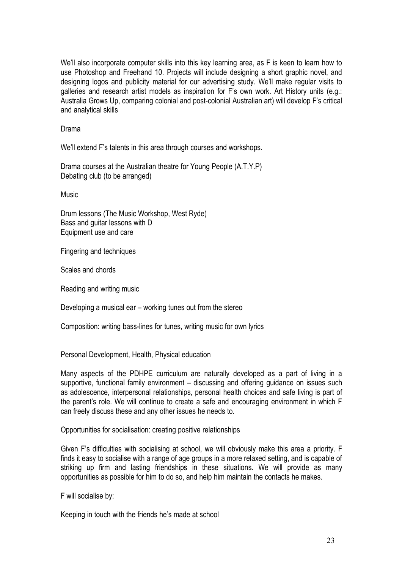We'll also incorporate computer skills into this key learning area, as F is keen to learn how to use Photoshop and Freehand 10. Projects will include designing a short graphic novel, and designing logos and publicity material for our advertising study. We'll make regular visits to galleries and research artist models as inspiration for F's own work. Art History units (e.g.: Australia Grows Up, comparing colonial and post-colonial Australian art) will develop F's critical and analytical skills

Drama

We'll extend F's talents in this area through courses and workshops.

Drama courses at the Australian theatre for Young People (A.T.Y.P) Debating club (to be arranged)

Music

Drum lessons (The Music Workshop, West Ryde) Bass and guitar lessons with D Equipment use and care

Fingering and techniques

Scales and chords

Reading and writing music

Developing a musical ear – working tunes out from the stereo

Composition: writing bass-lines for tunes, writing music for own lyrics

Personal Development, Health, Physical education

Many aspects of the PDHPE curriculum are naturally developed as a part of living in a supportive, functional family environment – discussing and offering guidance on issues such as adolescence, interpersonal relationships, personal health choices and safe living is part of the parent's role. We will continue to create a safe and encouraging environment in which F can freely discuss these and any other issues he needs to.

Opportunities for socialisation: creating positive relationships

Given F's difficulties with socialising at school, we will obviously make this area a priority. F finds it easy to socialise with a range of age groups in a more relaxed setting, and is capable of striking up firm and lasting friendships in these situations. We will provide as many opportunities as possible for him to do so, and help him maintain the contacts he makes.

F will socialise by:

Keeping in touch with the friends he's made at school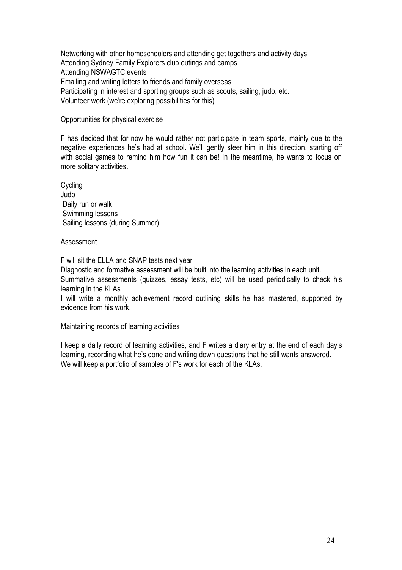Networking with other homeschoolers and attending get togethers and activity days Attending Sydney Family Explorers club outings and camps Attending NSWAGTC events Emailing and writing letters to friends and family overseas Participating in interest and sporting groups such as scouts, sailing, judo, etc. Volunteer work (we're exploring possibilities for this)

## Opportunities for physical exercise

F has decided that for now he would rather not participate in team sports, mainly due to the negative experiences he's had at school. We'll gently steer him in this direction, starting off with social games to remind him how fun it can be! In the meantime, he wants to focus on more solitary activities.

Cycling Judo Daily run or walk Swimming lessons Sailing lessons (during Summer)

### Assessment

F will sit the ELLA and SNAP tests next year

Diagnostic and formative assessment will be built into the learning activities in each unit.

Summative assessments (quizzes, essay tests, etc) will be used periodically to check his learning in the KLAs

I will write a monthly achievement record outlining skills he has mastered, supported by evidence from his work.

Maintaining records of learning activities

I keep a daily record of learning activities, and F writes a diary entry at the end of each day's learning, recording what he's done and writing down questions that he still wants answered. We will keep a portfolio of samples of F's work for each of the KLAs.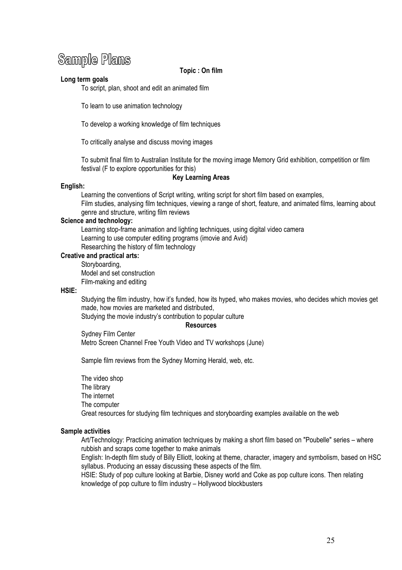# **Sample Plans**

#### **Topic : On film**

#### **Long term goals**

To script, plan, shoot and edit an animated film

To learn to use animation technology

To develop a working knowledge of film techniques

To critically analyse and discuss moving images

To submit final film to Australian Institute for the moving image Memory Grid exhibition, competition or film festival (F to explore opportunities for this)

#### **Key Learning Areas**

#### **English:**

Learning the conventions of Script writing, writing script for short film based on examples, Film studies, analysing film techniques, viewing a range of short, feature, and animated films, learning about genre and structure, writing film reviews

#### **Science and technology:**

Learning stop-frame animation and lighting techniques, using digital video camera Learning to use computer editing programs (imovie and Avid) Researching the history of film technology

#### **Creative and practical arts:**

Storyboarding, Model and set construction Film-making and editing

#### **HSIE:**

Studying the film industry, how it's funded, how its hyped, who makes movies, who decides which movies get made, how movies are marketed and distributed,

Studying the movie industry's contribution to popular culture

#### **Resources**

Sydney Film Center Metro Screen Channel Free Youth Video and TV workshops (June)

Sample film reviews from the Sydney Morning Herald, web, etc.

The video shop The library The internet The computer Great resources for studying film techniques and storyboarding examples available on the web

#### **Sample activities**

Art/Technology: Practicing animation techniques by making a short film based on "Poubelle" series – where rubbish and scraps come together to make animals

English: In-depth film study of Billy Elliott, looking at theme, character, imagery and symbolism, based on HSC syllabus. Producing an essay discussing these aspects of the film.

HSIE: Study of pop culture looking at Barbie, Disney world and Coke as pop culture icons. Then relating knowledge of pop culture to film industry – Hollywood blockbusters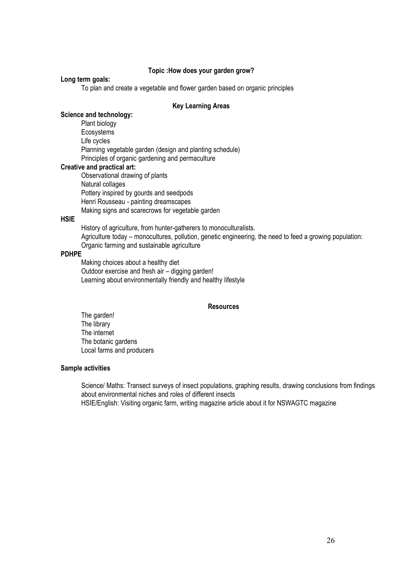#### **Topic :How does your garden grow?**

#### **Long term goals:**

To plan and create a vegetable and flower garden based on organic principles

#### **Key Learning Areas**

### **Science and technology:**

Plant biology **Ecosystems** Life cycles Planning vegetable garden (design and planting schedule) Principles of organic gardening and permaculture

#### **Creative and practical art:**

Observational drawing of plants Natural collages Pottery inspired by gourds and seedpods Henri Rousseau - painting dreamscapes Making signs and scarecrows for vegetable garden

#### **HSIE**

History of agriculture, from hunter-gatherers to monoculturalists. Agriculture today – monocultures, pollution, genetic engineering, the need to feed a growing population: Organic farming and sustainable agriculture

#### **PDHPE**

Making choices about a healthy diet Outdoor exercise and fresh air – digging garden! Learning about environmentally friendly and healthy lifestyle

#### **Resources**

The garden! The library The internet The botanic gardens Local farms and producers

#### **Sample activities**

Science/ Maths: Transect surveys of insect populations, graphing results, drawing conclusions from findings about environmental niches and roles of different insects HSIE/English: Visiting organic farm, writing magazine article about it for NSWAGTC magazine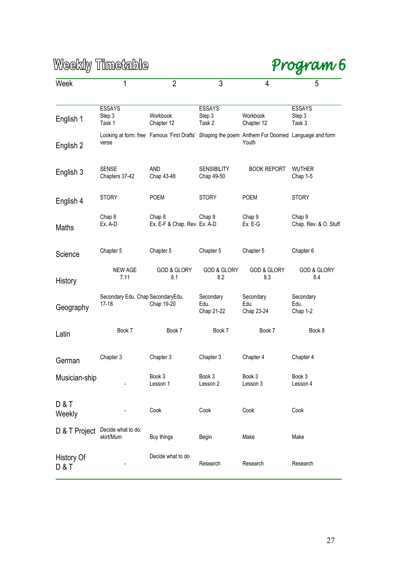Program 6

| Week                     | 1                                            | $\overline{2}$                                                                                   | 3                                 | 4                               | 5                                 |
|--------------------------|----------------------------------------------|--------------------------------------------------------------------------------------------------|-----------------------------------|---------------------------------|-----------------------------------|
|                          |                                              |                                                                                                  |                                   |                                 |                                   |
| English 1                | <b>ESSAYS</b><br>Step 3<br>Task 1            | Workbook<br>Chapter 12                                                                           | <b>ESSAYS</b><br>Step 3<br>Task 2 | Workbook<br>Chapter 12          | <b>ESSAYS</b><br>Step 3<br>Task 3 |
| English 2                | verse                                        | Looking at form: free Famous 'First Drafts' Shaping the poem Anthem For Doomed Language and form |                                   | Youth                           |                                   |
| English 3                | <b>SENSE</b><br>Chapters 37-42               | <b>AND</b><br>Chap 43-48                                                                         | <b>SENSIBILITY</b><br>Chap 49-50  | <b>BOOK REPORT</b>              | <b>WUTHER</b><br>Chap 1-5         |
| English 4                | <b>STORY</b>                                 | <b>POEM</b>                                                                                      | <b>STORY</b>                      | <b>POEM</b>                     | <b>STORY</b>                      |
| Maths                    | Chap 8<br>Ex. A-D                            | Chap 8<br>Ex. E-F & Chap. Rev. Ex. A-D                                                           | Chap 9                            | Chap 9<br>Ex. E-G               | Chap 9<br>Chap. Rev. & O. Stuff   |
| Science                  | Chapter 5                                    | Chapter 5                                                                                        | Chapter 5                         | Chapter 5                       | Chapter 6                         |
| History                  | NEW AGE<br>7.11                              | <b>GOD &amp; GLORY</b><br>8.1                                                                    | <b>GOD &amp; GLORY</b><br>8.2     | <b>GOD &amp; GLORY</b><br>8.3   | <b>GOD &amp; GLORY</b><br>8.4     |
| Geography                | Secondary Edu. Chap SecondaryEdu.<br>$17-18$ | Chap 19-20                                                                                       | Secondary<br>Edu.<br>Chap 21-22   | Secondary<br>Edu.<br>Chap 23-24 | Secondary<br>Edu.<br>Chap 1-2     |
| Latin                    | Book 7                                       | Book 7                                                                                           | Book 7                            | Book 7                          | Book 8                            |
| German                   | Chapter 3                                    | Chapter 3                                                                                        | Chapter 3                         | Chapter 4                       | Chapter 4                         |
| Musician-ship            |                                              | Book 3<br>Lesson 1                                                                               | Book 3<br>Lesson 2                | Book 3<br>Lesson 3              | Book 3<br>Lesson 4                |
| <b>D&amp;T</b><br>Weekly |                                              | Cook                                                                                             | Cook                              | Cook                            | Cook                              |
| D & T Project            | Decide what to do:<br>skirt/Mum              | Buy things                                                                                       | Begin                             | Make                            | Make                              |
| <b>History Of</b><br>D&T |                                              | Decide what to do                                                                                | Research                          | Research                        | Research                          |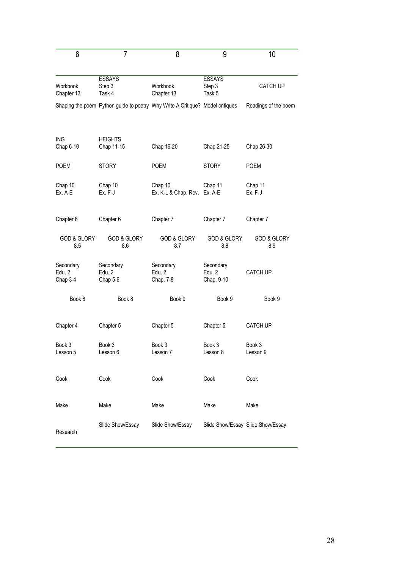| 6                               | $\overline{7}$                                                                | 8                                       | 9                                 | 10                                |
|---------------------------------|-------------------------------------------------------------------------------|-----------------------------------------|-----------------------------------|-----------------------------------|
| Workbook<br>Chapter 13          | <b>ESSAYS</b><br>Step 3<br>Task 4                                             | Workbook<br>Chapter 13                  | <b>ESSAYS</b><br>Step 3<br>Task 5 | <b>CATCH UP</b>                   |
|                                 | Shaping the poem Python guide to poetry Why Write A Critique? Model critiques |                                         |                                   | Readings of the poem              |
| <b>ING</b><br>Chap 6-10         | <b>HEIGHTS</b><br>Chap 11-15                                                  | Chap 16-20                              | Chap 21-25                        | Chap 26-30                        |
| <b>POEM</b>                     | <b>STORY</b>                                                                  | <b>POEM</b>                             | <b>STORY</b>                      | <b>POEM</b>                       |
| Chap 10<br>Ex. A-E              | Chap 10<br>Ex. F-J                                                            | Chap 10<br>Ex. K-L & Chap. Rev. Ex. A-E | Chap 11                           | Chap 11<br>Ex. F-J                |
| Chapter 6                       | Chapter 6                                                                     | Chapter 7                               | Chapter 7                         | Chapter 7                         |
| <b>GOD &amp; GLORY</b><br>8.5   | <b>GOD &amp; GLORY</b><br>8.6                                                 | <b>GOD &amp; GLORY</b><br>8.7           | <b>GOD &amp; GLORY</b><br>8.8     | <b>GOD &amp; GLORY</b><br>8.9     |
| Secondary<br>Edu. 2<br>Chap 3-4 | Secondary<br>Edu. 2<br>Chap 5-6                                               | Secondary<br>Edu. 2<br>Chap. 7-8        | Secondary<br>Edu. 2<br>Chap. 9-10 | <b>CATCH UP</b>                   |
| Book 8                          | Book 8                                                                        | Book 9                                  | Book 9                            | Book 9                            |
| Chapter 4                       | Chapter 5                                                                     | Chapter 5                               | Chapter 5                         | <b>CATCH UP</b>                   |
| Book 3<br>Lesson 5              | Book 3<br>Lesson 6                                                            | Book 3<br>Lesson 7                      | Book 3<br>Lesson 8                | Book 3<br>Lesson 9                |
| Cook                            | Cook                                                                          | Cook                                    | Cook                              | Cook                              |
| Make                            | Make                                                                          | Make                                    | Make                              | Make                              |
| Research                        | Slide Show/Essay                                                              | Slide Show/Essay                        |                                   | Slide Show/Essay Slide Show/Essay |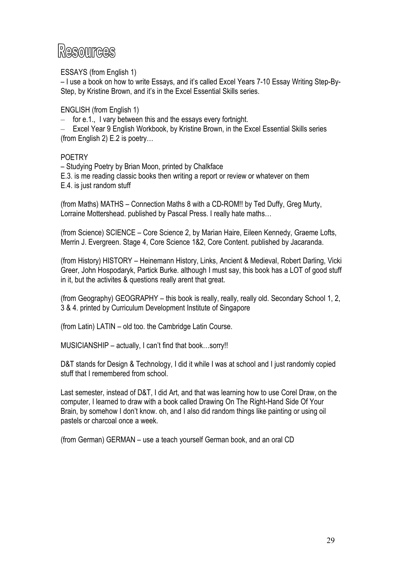# Resources

ESSAYS (from English 1)

– I use a book on how to write Essays, and it's called Excel Years 7-10 Essay Writing Step-By-Step, by Kristine Brown, and it's in the Excel Essential Skills series.

ENGLISH (from English 1)

– for e.1., I vary between this and the essays every fortnight.

– Excel Year 9 English Workbook, by Kristine Brown, in the Excel Essential Skills series (from English 2) E.2 is poetry…

# POETRY

– Studying Poetry by Brian Moon, printed by Chalkface E.3. is me reading classic books then writing a report or review or whatever on them E.4. is just random stuff

(from Maths) MATHS – Connection Maths 8 with a CD-ROM!! by Ted Duffy, Greg Murty, Lorraine Mottershead. published by Pascal Press. I really hate maths…

(from Science) SCIENCE – Core Science 2, by Marian Haire, Eileen Kennedy, Graeme Lofts, Merrin J. Evergreen. Stage 4, Core Science 1&2, Core Content. published by Jacaranda.

(from History) HISTORY – Heinemann History, Links, Ancient & Medieval, Robert Darling, Vicki Greer, John Hospodaryk, Partick Burke. although I must say, this book has a LOT of good stuff in it, but the activites & questions really arent that great.

(from Geography) GEOGRAPHY – this book is really, really, really old. Secondary School 1, 2, 3 & 4. printed by Curriculum Development Institute of Singapore

(from Latin) LATIN – old too. the Cambridge Latin Course.

MUSICIANSHIP – actually, I can't find that book…sorry!!

D&T stands for Design & Technology, I did it while I was at school and I just randomly copied stuff that I remembered from school.

Last semester, instead of D&T, I did Art, and that was learning how to use Corel Draw, on the computer, I learned to draw with a book called Drawing On The Right-Hand Side Of Your Brain, by somehow I don't know. oh, and I also did random things like painting or using oil pastels or charcoal once a week.

(from German) GERMAN – use a teach yourself German book, and an oral CD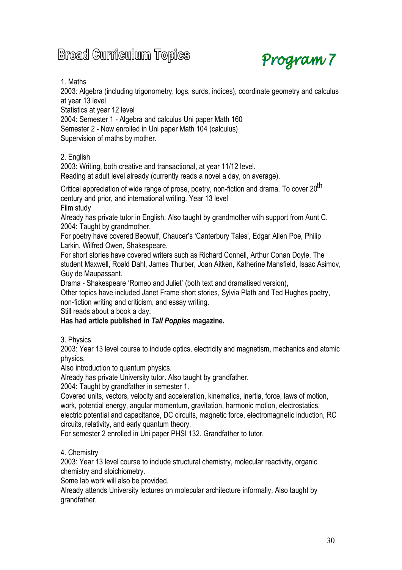# **Broad Curriculum Topics**



1. Maths

2003: Algebra (including trigonometry, logs, surds, indices), coordinate geometry and calculus at year 13 level

Statistics at year 12 level

2004: Semester 1 - Algebra and calculus Uni paper Math 160 Semester 2 **-** Now enrolled in Uni paper Math 104 (calculus) Supervision of maths by mother.

2. English

2003: Writing, both creative and transactional, at year 11/12 level. Reading at adult level already (currently reads a novel a day, on average).

Critical appreciation of wide range of prose, poetry, non-fiction and drama. To cover 20<sup>th</sup> century and prior, and international writing. Year 13 level

Film study

Already has private tutor in English. Also taught by grandmother with support from Aunt C. 2004: Taught by grandmother.

For poetry have covered Beowulf, Chaucer's 'Canterbury Tales', Edgar Allen Poe, Philip Larkin, Wilfred Owen, Shakespeare.

For short stories have covered writers such as Richard Connell, Arthur Conan Doyle, The student Maxwell, Roald Dahl, James Thurber, Joan Aitken, Katherine Mansfield, Isaac Asimov, Guy de Maupassant.

Drama - Shakespeare 'Romeo and Juliet' (both text and dramatised version),

Other topics have included Janet Frame short stories, Sylvia Plath and Ted Hughes poetry, non-fiction writing and criticism, and essay writing.

Still reads about a book a day.

# **Has had article published in** *Tall Poppies* **magazine.**

3. Physics

2003: Year 13 level course to include optics, electricity and magnetism, mechanics and atomic physics.

Also introduction to quantum physics.

Already has private University tutor. Also taught by grandfather.

2004: Taught by grandfather in semester 1.

Covered units, vectors, velocity and acceleration, kinematics, inertia, force, laws of motion, work, potential energy, angular momentum, gravitation, harmonic motion, electrostatics, electric potential and capacitance, DC circuits, magnetic force, electromagnetic induction, RC circuits, relativity, and early quantum theory.

For semester 2 enrolled in Uni paper PHSI 132. Grandfather to tutor.

4. Chemistry

2003: Year 13 level course to include structural chemistry, molecular reactivity, organic chemistry and stoichiometry.

Some lab work will also be provided.

Already attends University lectures on molecular architecture informally. Also taught by grandfather.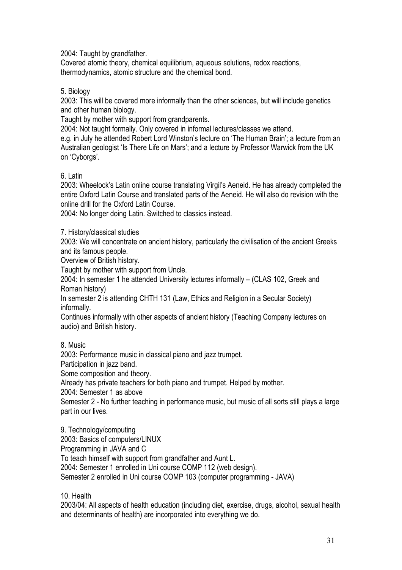2004: Taught by grandfather.

Covered atomic theory, chemical equilibrium, aqueous solutions, redox reactions, thermodynamics, atomic structure and the chemical bond.

# 5. Biology

2003: This will be covered more informally than the other sciences, but will include genetics and other human biology.

Taught by mother with support from grandparents.

2004: Not taught formally. Only covered in informal lectures/classes we attend.

e.g. in July he attended Robert Lord Winston's lecture on 'The Human Brain'; a lecture from an Australian geologist 'Is There Life on Mars'; and a lecture by Professor Warwick from the UK on 'Cyborgs'.

# 6. Latin

2003: Wheelock's Latin online course translating Virgil's Aeneid. He has already completed the entire Oxford Latin Course and translated parts of the Aeneid. He will also do revision with the online drill for the Oxford Latin Course.

2004: No longer doing Latin. Switched to classics instead.

7. History/classical studies

2003: We will concentrate on ancient history, particularly the civilisation of the ancient Greeks and its famous people.

Overview of British history.

Taught by mother with support from Uncle.

2004: In semester 1 he attended University lectures informally – (CLAS 102, Greek and Roman history)

In semester 2 is attending CHTH 131 (Law, Ethics and Religion in a Secular Society) informally.

Continues informally with other aspects of ancient history (Teaching Company lectures on audio) and British history.

8. Music

2003: Performance music in classical piano and jazz trumpet.

Participation in jazz band.

Some composition and theory.

Already has private teachers for both piano and trumpet. Helped by mother.

2004: Semester 1 as above

Semester 2 - No further teaching in performance music, but music of all sorts still plays a large part in our lives.

9. Technology/computing 2003: Basics of computers/LINUX Programming in JAVA and C To teach himself with support from grandfather and Aunt L. 2004: Semester 1 enrolled in Uni course COMP 112 (web design). Semester 2 enrolled in Uni course COMP 103 (computer programming - JAVA)

10. Health

2003/04: All aspects of health education (including diet, exercise, drugs, alcohol, sexual health and determinants of health) are incorporated into everything we do.